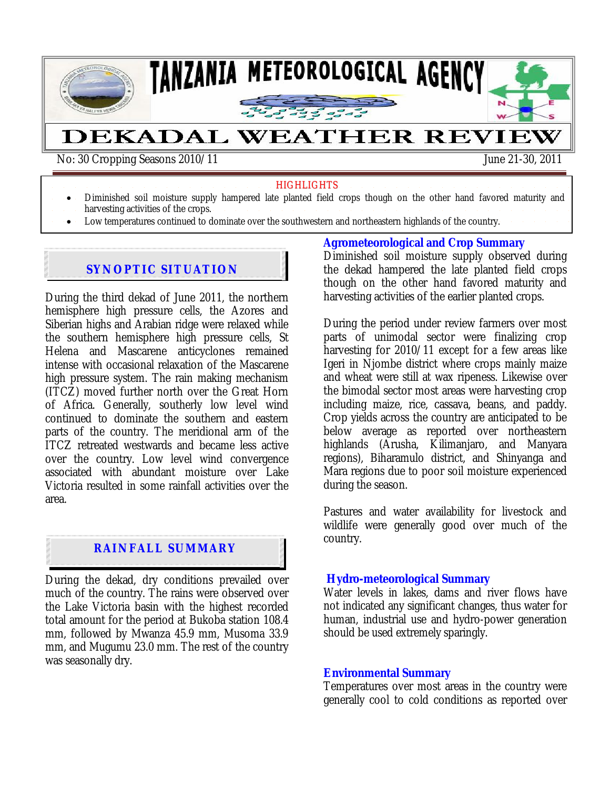

#### **HIGHLIGHTS**

- Diminished soil moisture supply hampered late planted field crops though on the other hand favored maturity and
- harvesting activities of the crops.
- Low temperatures continued to dominate over the southwestern and northeastern highlands of the country.

## **SYNOPTIC SITUATION**

During the third dekad of June 2011, the northern hemisphere high pressure cells, the Azores and Siberian highs and Arabian ridge were relaxed while the southern hemisphere high pressure cells, St Helena and Mascarene anticyclones remained intense with occasional relaxation of the Mascarene high pressure system. The rain making mechanism (ITCZ) moved further north over the Great Horn of Africa. Generally, southerly low level wind continued to dominate the southern and eastern parts of the country. The meridional arm of the ITCZ retreated westwards and became less active over the country. Low level wind convergence associated with abundant moisture over Lake Victoria resulted in some rainfall activities over the area.

# **RAINFALL SUMMARY**

During the dekad, dry conditions prevailed over much of the country. The rains were observed over the Lake Victoria basin with the highest recorded total amount for the period at Bukoba station 108.4 mm, followed by Mwanza 45.9 mm, Musoma 33.9 mm, and Mugumu 23.0 mm. The rest of the country was seasonally dry.

#### **Agrometeorological and Crop Summary**

Diminished soil moisture supply observed during the dekad hampered the late planted field crops though on the other hand favored maturity and harvesting activities of the earlier planted crops.

During the period under review farmers over most parts of unimodal sector were finalizing crop harvesting for 2010/11 except for a few areas like Igeri in Njombe district where crops mainly maize and wheat were still at wax ripeness. Likewise over the bimodal sector most areas were harvesting crop including maize, rice, cassava, beans, and paddy. Crop yields across the country are anticipated to be below average as reported over northeastern highlands (Arusha, Kilimanjaro, and Manyara regions), Biharamulo district, and Shinyanga and Mara regions due to poor soil moisture experienced during the season.

Pastures and water availability for livestock and wildlife were generally good over much of the country.

### **Hydro-meteorological Summary**

Water levels in lakes, dams and river flows have not indicated any significant changes, thus water for human, industrial use and hydro-power generation should be used extremely sparingly.

### **Environmental Summary**

Temperatures over most areas in the country were generally cool to cold conditions as reported over